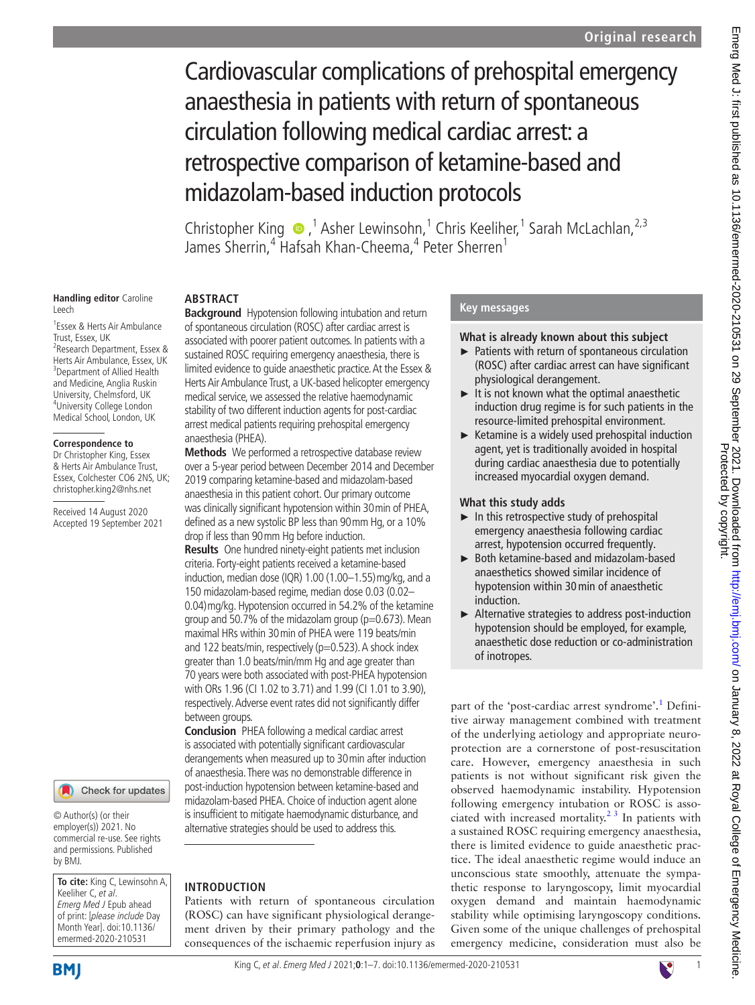# Cardiovascular complications of prehospital emergency anaesthesia in patients with return of spontaneous circulation following medical cardiac arrest: a retrospective comparison of ketamine-based and midazolam-based induction protocols

Christopher King  $\bullet$ ,<sup>1</sup> Asher Lewinsohn,<sup>1</sup> Chris Keeliher,<sup>1</sup> Sarah McLachlan,<sup>2,3</sup> James Sherrin,<sup>4</sup> Hafsah Khan-Cheema,<sup>4</sup> Peter Sherren<sup>1</sup>

#### **Handling editor** Caroline Leech

1 Essex & Herts Air Ambulance Trust, Essex, UK 2 Research Department, Essex & Herts Air Ambulance, Essex, UK <sup>3</sup> Department of Allied Health and Medicine, Anglia Ruskin University, Chelmsford, UK 4 University College London Medical School, London, UK

#### **Correspondence to**

Dr Christopher King, Essex & Herts Air Ambulance Trust, Essex, Colchester CO6 2NS, UK; christopher.king2@nhs.net

Received 14 August 2020 Accepted 19 September 2021

## Check for updates

© Author(s) (or their employer(s)) 2021. No commercial re-use. See rights and permissions. Published by BMJ.

**To cite:** King C, Lewinsohn A, Keeliher C, et al. Emerg Med J Epub ahead of print: [please include Day Month Year]. doi:10.1136/ emermed-2020-210531

# **ABSTRACT**

**Background** Hypotension following intubation and return of spontaneous circulation (ROSC) after cardiac arrest is associated with poorer patient outcomes. In patients with a sustained ROSC requiring emergency anaesthesia, there is limited evidence to guide anaesthetic practice. At the Essex & Herts Air Ambulance Trust, a UK-based helicopter emergency medical service, we assessed the relative haemodynamic stability of two different induction agents for post-cardiac arrest medical patients requiring prehospital emergency anaesthesia (PHEA).

**Methods** We performed a retrospective database review over a 5-year period between December 2014 and December 2019 comparing ketamine-based and midazolam-based anaesthesia in this patient cohort. Our primary outcome was clinically significant hypotension within 30min of PHEA, defined as a new systolic BP less than 90mm Hg, or a 10% drop if less than 90mm Hg before induction.

**Results** One hundred ninety-eight patients met inclusion criteria. Forty-eight patients received a ketamine-based induction, median dose (IQR) 1.00 (1.00–1.55)mg/kg, and a 150 midazolam-based regime, median dose 0.03 (0.02– 0.04)mg/kg. Hypotension occurred in 54.2% of the ketamine group and 50.7% of the midazolam group ( $p=0.673$ ). Mean maximal HRs within 30min of PHEA were 119 beats/min and 122 beats/min, respectively (p=0.523). A shock index greater than 1.0 beats/min/mm Hg and age greater than 70 years were both associated with post-PHEA hypotension with ORs 1.96 (CI 1.02 to 3.71) and 1.99 (CI 1.01 to 3.90), respectively. Adverse event rates did not significantly differ between groups.

**Conclusion** PHEA following a medical cardiac arrest is associated with potentially significant cardiovascular derangements when measured up to 30min after induction of anaesthesia. There was no demonstrable difference in post-induction hypotension between ketamine-based and midazolam-based PHEA. Choice of induction agent alone is insufficient to mitigate haemodynamic disturbance, and alternative strategies should be used to address this.

# **INTRODUCTION**

Patients with return of spontaneous circulation (ROSC) can have significant physiological derangement driven by their primary pathology and the consequences of the ischaemic reperfusion injury as

## **Key messages**

## **What is already known about this subject**

- ► Patients with return of spontaneous circulation (ROSC) after cardiac arrest can have significant physiological derangement.
- $\blacktriangleright$  It is not known what the optimal anaesthetic induction drug regime is for such patients in the resource-limited prehospital environment.
- $\blacktriangleright$  Ketamine is a widely used prehospital induction agent, yet is traditionally avoided in hospital during cardiac anaesthesia due to potentially increased myocardial oxygen demand.

## **What this study adds**

- $\blacktriangleright$  In this retrospective study of prehospital emergency anaesthesia following cardiac arrest, hypotension occurred frequently.
- ► Both ketamine-based and midazolam-based anaesthetics showed similar incidence of hypotension within 30min of anaesthetic induction.
- ► Alternative strategies to address post-induction hypotension should be employed, for example, anaesthetic dose reduction or co-administration of inotropes.

part of the 'post-cardiac arrest syndrome'.<sup>[1](#page-5-0)</sup> Definitive airway management combined with treatment of the underlying aetiology and appropriate neuroprotection are a cornerstone of post-resuscitation care. However, emergency anaesthesia in such patients is not without significant risk given the observed haemodynamic instability. Hypotension following emergency intubation or ROSC is associated with increased mortality. $2<sup>3</sup>$  In patients with a sustained ROSC requiring emergency anaesthesia, there is limited evidence to guide anaesthetic practice. The ideal anaesthetic regime would induce an unconscious state smoothly, attenuate the sympathetic response to laryngoscopy, limit myocardial oxygen demand and maintain haemodynamic stability while optimising laryngoscopy conditions. Given some of the unique challenges of prehospital emergency medicine, consideration must also be

**BMI** 

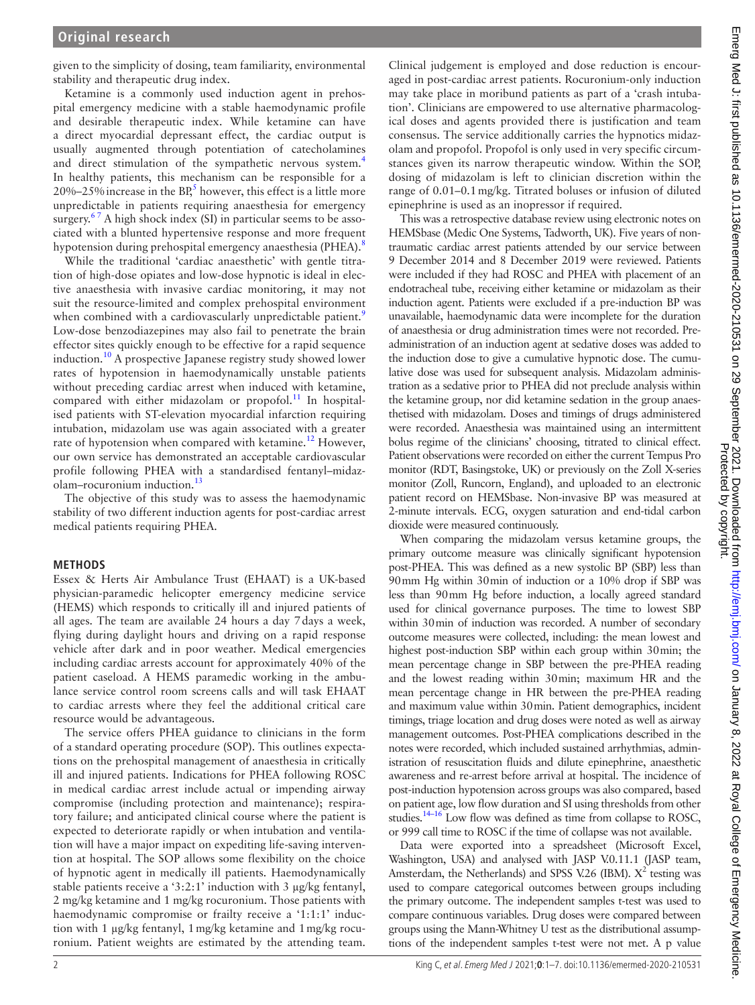given to the simplicity of dosing, team familiarity, environmental stability and therapeutic drug index.

Ketamine is a commonly used induction agent in prehospital emergency medicine with a stable haemodynamic profile and desirable therapeutic index. While ketamine can have a direct myocardial depressant effect, the cardiac output is usually augmented through potentiation of catecholamines and direct stimulation of the sympathetic nervous system.<sup>4</sup> In healthy patients, this mechanism can be responsible for a 20%–25% increase in the  $BP_5^5$  however, this effect is a little more unpredictable in patients requiring anaesthesia for emergency surgery. $67$  A high shock index (SI) in particular seems to be associated with a blunted hypertensive response and more frequent hypotension during prehospital emergency anaesthesia (PHEA).<sup>[8](#page-5-5)</sup>

While the traditional 'cardiac anaesthetic' with gentle titration of high-dose opiates and low-dose hypnotic is ideal in elective anaesthesia with invasive cardiac monitoring, it may not suit the resource-limited and complex prehospital environment when combined with a cardiovascularly unpredictable patient.<sup>9</sup> Low-dose benzodiazepines may also fail to penetrate the brain effector sites quickly enough to be effective for a rapid sequence induction.[10](#page-5-7) A prospective Japanese registry study showed lower rates of hypotension in haemodynamically unstable patients without preceding cardiac arrest when induced with ketamine, compared with either midazolam or propofol.<sup>11</sup> In hospitalised patients with ST-elevation myocardial infarction requiring intubation, midazolam use was again associated with a greater rate of hypotension when compared with ketamine.<sup>[12](#page-5-9)</sup> However, our own service has demonstrated an acceptable cardiovascular profile following PHEA with a standardised fentanyl–midaz-olam–rocuronium induction.<sup>[13](#page-6-0)</sup>

The objective of this study was to assess the haemodynamic stability of two different induction agents for post-cardiac arrest medical patients requiring PHEA.

## **METHODS**

Essex & Herts Air Ambulance Trust (EHAAT) is a UK-based physician-paramedic helicopter emergency medicine service (HEMS) which responds to critically ill and injured patients of all ages. The team are available 24 hours a day 7days a week, flying during daylight hours and driving on a rapid response vehicle after dark and in poor weather. Medical emergencies including cardiac arrests account for approximately 40% of the patient caseload. A HEMS paramedic working in the ambulance service control room screens calls and will task EHAAT to cardiac arrests where they feel the additional critical care resource would be advantageous.

The service offers PHEA guidance to clinicians in the form of a standard operating procedure (SOP). This outlines expectations on the prehospital management of anaesthesia in critically ill and injured patients. Indications for PHEA following ROSC in medical cardiac arrest include actual or impending airway compromise (including protection and maintenance); respiratory failure; and anticipated clinical course where the patient is expected to deteriorate rapidly or when intubation and ventilation will have a major impact on expediting life-saving intervention at hospital. The SOP allows some flexibility on the choice of hypnotic agent in medically ill patients. Haemodynamically stable patients receive a '3:2:1' induction with 3 µg/kg fentanyl, 2 mg/kg ketamine and 1 mg/kg rocuronium. Those patients with haemodynamic compromise or frailty receive a '1:1:1' induction with 1 µg/kg fentanyl, 1mg/kg ketamine and 1mg/kg rocuronium. Patient weights are estimated by the attending team.

Clinical judgement is employed and dose reduction is encouraged in post-cardiac arrest patients. Rocuronium-only induction may take place in moribund patients as part of a 'crash intubation'. Clinicians are empowered to use alternative pharmacological doses and agents provided there is justification and team consensus. The service additionally carries the hypnotics midazolam and propofol. Propofol is only used in very specific circumstances given its narrow therapeutic window. Within the SOP, dosing of midazolam is left to clinician discretion within the range of 0.01–0.1mg/kg. Titrated boluses or infusion of diluted epinephrine is used as an inopressor if required.

This was a retrospective database review using electronic notes on HEMSbase (Medic One Systems, Tadworth, UK). Five years of nontraumatic cardiac arrest patients attended by our service between 9 December 2014 and 8 December 2019 were reviewed. Patients were included if they had ROSC and PHEA with placement of an endotracheal tube, receiving either ketamine or midazolam as their induction agent. Patients were excluded if a pre-induction BP was unavailable, haemodynamic data were incomplete for the duration of anaesthesia or drug administration times were not recorded. Preadministration of an induction agent at sedative doses was added to the induction dose to give a cumulative hypnotic dose. The cumulative dose was used for subsequent analysis. Midazolam administration as a sedative prior to PHEA did not preclude analysis within the ketamine group, nor did ketamine sedation in the group anaesthetised with midazolam. Doses and timings of drugs administered were recorded. Anaesthesia was maintained using an intermittent bolus regime of the clinicians' choosing, titrated to clinical effect. Patient observations were recorded on either the current Tempus Pro monitor (RDT, Basingstoke, UK) or previously on the Zoll X-series monitor (Zoll, Runcorn, England), and uploaded to an electronic patient record on HEMSbase. Non-invasive BP was measured at 2-minute intervals. ECG, oxygen saturation and end-tidal carbon dioxide were measured continuously.

When comparing the midazolam versus ketamine groups, the primary outcome measure was clinically significant hypotension post-PHEA. This was defined as a new systolic BP (SBP) less than 90mm Hg within 30min of induction or a 10% drop if SBP was less than 90mm Hg before induction, a locally agreed standard used for clinical governance purposes. The time to lowest SBP within 30min of induction was recorded. A number of secondary outcome measures were collected, including: the mean lowest and highest post-induction SBP within each group within 30min; the mean percentage change in SBP between the pre-PHEA reading and the lowest reading within 30min; maximum HR and the mean percentage change in HR between the pre-PHEA reading and maximum value within 30min. Patient demographics, incident timings, triage location and drug doses were noted as well as airway management outcomes. Post-PHEA complications described in the notes were recorded, which included sustained arrhythmias, administration of resuscitation fluids and dilute epinephrine, anaesthetic awareness and re-arrest before arrival at hospital. The incidence of post-induction hypotension across groups was also compared, based on patient age, low flow duration and SI using thresholds from other studies. $14-16$  Low flow was defined as time from collapse to ROSC, or 999 call time to ROSC if the time of collapse was not available.

Data were exported into a spreadsheet (Microsoft Excel, Washington, USA) and analysed with JASP V.0.11.1 (JASP team, Amsterdam, the Netherlands) and SPSS V.26 (IBM).  $X^2$  testing was used to compare categorical outcomes between groups including the primary outcome. The independent samples t-test was used to compare continuous variables. Drug doses were compared between groups using the Mann-Whitney U test as the distributional assumptions of the independent samples t-test were not met. A p value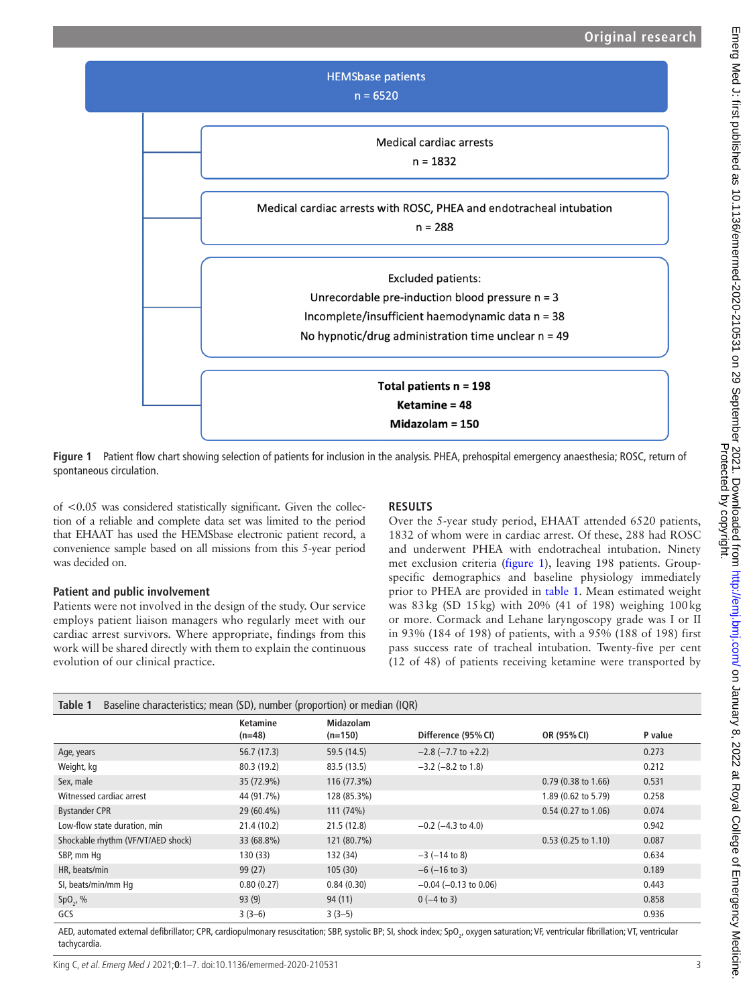

<span id="page-2-0"></span>**Figure 1** Patient flow chart showing selection of patients for inclusion in the analysis. PHEA, prehospital emergency anaesthesia; ROSC, return of spontaneous circulation.

of <0.05 was considered statistically significant. Given the collection of a reliable and complete data set was limited to the period that EHAAT has used the HEMSbase electronic patient record, a convenience sample based on all missions from this 5-year period was decided on.

## **Patient and public involvement**

Patients were not involved in the design of the study. Our service employs patient liaison managers who regularly meet with our cardiac arrest survivors. Where appropriate, findings from this work will be shared directly with them to explain the continuous evolution of our clinical practice.

## **RESULTS**

Over the 5-year study period, EHAAT attended 6520 patients, 1832 of whom were in cardiac arrest. Of these, 288 had ROSC and underwent PHEA with endotracheal intubation. Ninety met exclusion criteria ([figure](#page-2-0) 1), leaving 198 patients. Groupspecific demographics and baseline physiology immediately prior to PHEA are provided in [table](#page-2-1) 1. Mean estimated weight was 83kg (SD 15kg) with 20% (41 of 198) weighing 100kg or more. Cormack and Lehane laryngoscopy grade was I or II in 93% (184 of 198) of patients, with a 95% (188 of 198) first pass success rate of tracheal intubation. Twenty-five per cent (12 of 48) of patients receiving ketamine were transported by

<span id="page-2-1"></span>

| Table 1<br>Baseline characteristics; mean (SD), number (proportion) or median (IQR)                                                                                                                                                                                                                                                                                                                                             |                             |                               |                             |                       |         |
|---------------------------------------------------------------------------------------------------------------------------------------------------------------------------------------------------------------------------------------------------------------------------------------------------------------------------------------------------------------------------------------------------------------------------------|-----------------------------|-------------------------------|-----------------------------|-----------------------|---------|
|                                                                                                                                                                                                                                                                                                                                                                                                                                 | <b>Ketamine</b><br>$(n=48)$ | <b>Midazolam</b><br>$(n=150)$ | Difference (95% CI)         | OR (95% CI)           | P value |
| Age, years                                                                                                                                                                                                                                                                                                                                                                                                                      | 56.7(17.3)                  | 59.5 (14.5)                   | $-2.8$ ( $-7.7$ to $+2.2$ ) |                       | 0.273   |
| Weight, kg                                                                                                                                                                                                                                                                                                                                                                                                                      | 80.3 (19.2)                 | 83.5 (13.5)                   | $-3.2$ ( $-8.2$ to 1.8)     |                       | 0.212   |
| Sex, male                                                                                                                                                                                                                                                                                                                                                                                                                       | 35 (72.9%)                  | 116 (77.3%)                   |                             | 0.79 (0.38 to 1.66)   | 0.531   |
| Witnessed cardiac arrest                                                                                                                                                                                                                                                                                                                                                                                                        | 44 (91.7%)                  | 128 (85.3%)                   |                             | 1.89 (0.62 to 5.79)   | 0.258   |
| <b>Bystander CPR</b>                                                                                                                                                                                                                                                                                                                                                                                                            | 29 (60.4%)                  | 111 (74%)                     |                             | 0.54 (0.27 to 1.06)   | 0.074   |
| Low-flow state duration, min                                                                                                                                                                                                                                                                                                                                                                                                    | 21.4(10.2)                  | 21.5(12.8)                    | $-0.2$ ( $-4.3$ to 4.0)     |                       | 0.942   |
| Shockable rhythm (VF/VT/AED shock)                                                                                                                                                                                                                                                                                                                                                                                              | 33 (68.8%)                  | 121 (80.7%)                   |                             | $0.53$ (0.25 to 1.10) | 0.087   |
| SBP, mm Hq                                                                                                                                                                                                                                                                                                                                                                                                                      | 130 (33)                    | 132 (34)                      | $-3$ ( $-14$ to 8)          |                       | 0.634   |
| HR, beats/min                                                                                                                                                                                                                                                                                                                                                                                                                   | 99 (27)                     | 105(30)                       | $-6$ ( $-16$ to 3)          |                       | 0.189   |
| SI, beats/min/mm Hq                                                                                                                                                                                                                                                                                                                                                                                                             | 0.80(0.27)                  | 0.84(0.30)                    | $-0.04$ ( $-0.13$ to 0.06)  |                       | 0.443   |
| $SpO_{2}$ , %                                                                                                                                                                                                                                                                                                                                                                                                                   | 93(9)                       | 94(11)                        | $0(-4 \text{ to } 3)$       |                       | 0.858   |
| GCS<br>$\mathbf{A} = \mathbf{A} \mathbf{A} + \mathbf{A} \mathbf{A} + \mathbf{A} \mathbf{A} + \mathbf{A} \mathbf{A} + \mathbf{A} \mathbf{A} + \mathbf{A} \mathbf{A} + \mathbf{A} \mathbf{A} + \mathbf{A} \mathbf{A} + \mathbf{A} \mathbf{A} + \mathbf{A} \mathbf{A} + \mathbf{A} \mathbf{A} + \mathbf{A} \mathbf{A} + \mathbf{A} \mathbf{A} + \mathbf{A} \mathbf{A} + \mathbf{A} \mathbf{A} + \mathbf{A} \mathbf{A} + \mathbf{A$ | $3(3-6)$                    | $3(3-5)$                      |                             |                       | 0.936   |

AED, automated external defibrillator; CPR, cardiopulmonary resuscitation; SBP, systolic BP; SI, shock index; SpO<sub>2</sub>, oxygen saturation; VF, ventricular fibrillation; VT, ventricular tachycardia.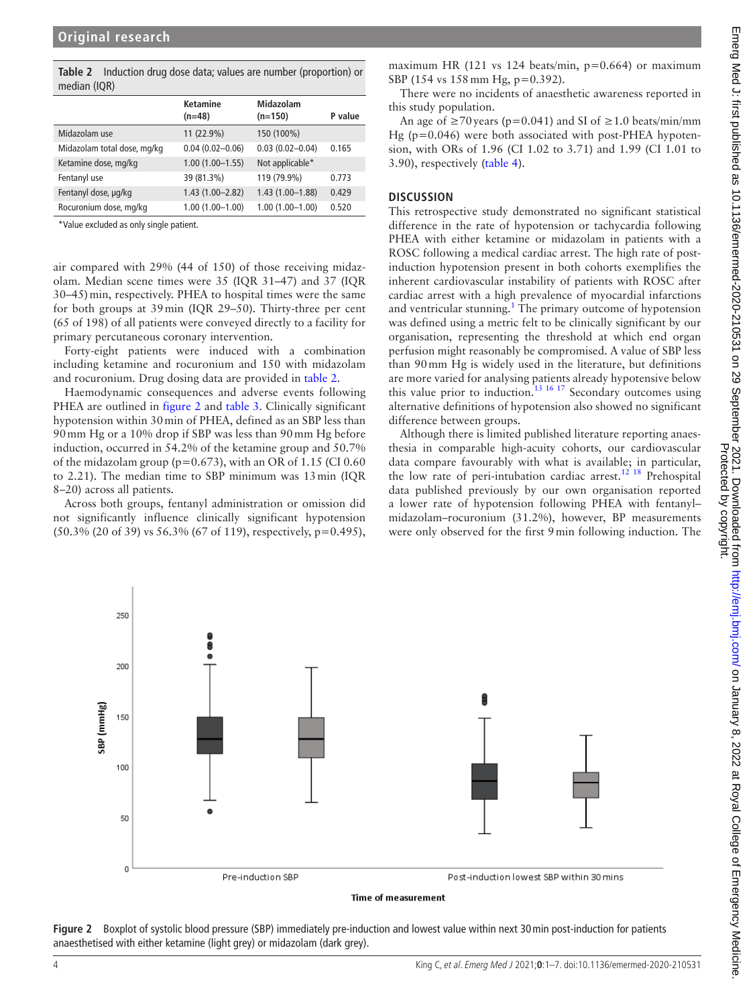<span id="page-3-0"></span>**Table 2** Induction drug dose data; values are number (proportion) or median (IQR)

|                             | <b>Ketamine</b><br>$(n=48)$ | Midazolam<br>$(n=150)$ | P value |
|-----------------------------|-----------------------------|------------------------|---------|
| Midazolam use               | 11 (22.9%)                  | 150 (100%)             |         |
| Midazolam total dose, mg/kg | $0.04(0.02 - 0.06)$         | $0.03(0.02 - 0.04)$    | 0.165   |
| Ketamine dose, mg/kg        | $1.00(1.00 - 1.55)$         | Not applicable*        |         |
| Fentanyl use                | 39 (81.3%)                  | 119 (79.9%)            | 0.773   |
| Fentanyl dose, µg/kg        | $1.43(1.00 - 2.82)$         | $1.43(1.00-1.88)$      | 0.429   |
| Rocuronium dose, mg/kg      | $1.00(1.00 - 1.00)$         | $1.00(1.00 - 1.00)$    | 0.520   |
|                             |                             |                        |         |

\*Value excluded as only single patient.

air compared with 29% (44 of 150) of those receiving midazolam. Median scene times were 35 (IQR 31–47) and 37 (IQR 30–45)min, respectively. PHEA to hospital times were the same for both groups at 39min (IQR 29–50). Thirty-three per cent (65 of 198) of all patients were conveyed directly to a facility for primary percutaneous coronary intervention.

Forty-eight patients were induced with a combination including ketamine and rocuronium and 150 with midazolam and rocuronium. Drug dosing data are provided in [table](#page-3-0) 2.

Haemodynamic consequences and adverse events following PHEA are outlined in [figure](#page-3-1) 2 and [table](#page-4-0) 3. Clinically significant hypotension within 30min of PHEA, defined as an SBP less than 90mm Hg or a 10% drop if SBP was less than 90mm Hg before induction, occurred in 54.2% of the ketamine group and 50.7% of the midazolam group ( $p=0.673$ ), with an OR of 1.15 (CI 0.60 to 2.21). The median time to SBP minimum was 13min (IQR 8–20) across all patients.

Across both groups, fentanyl administration or omission did not significantly influence clinically significant hypotension (50.3% (20 of 39) vs 56.3% (67 of 119), respectively, p=0.495),

maximum HR (121 vs 124 beats/min, p=0.664) or maximum SBP (154 vs 158 mm Hg, p=0.392).

There were no incidents of anaesthetic awareness reported in this study population.

An age of  $\geq$ 70 years (p=0.041) and SI of  $\geq$ 1.0 beats/min/mm Hg (p=0.046) were both associated with post-PHEA hypotension, with ORs of 1.96 (CI 1.02 to 3.71) and 1.99 (CI 1.01 to 3.90), respectively ([table](#page-4-1) 4).

#### **DISCUSSION**

This retrospective study demonstrated no significant statistical difference in the rate of hypotension or tachycardia following PHEA with either ketamine or midazolam in patients with a ROSC following a medical cardiac arrest. The high rate of postinduction hypotension present in both cohorts exemplifies the inherent cardiovascular instability of patients with ROSC after cardiac arrest with a high prevalence of myocardial infarctions and ventricular stunning.<sup>1</sup> The primary outcome of hypotension was defined using a metric felt to be clinically significant by our organisation, representing the threshold at which end organ perfusion might reasonably be compromised. A value of SBP less than 90mm Hg is widely used in the literature, but definitions are more varied for analysing patients already hypotensive below this value prior to induction.<sup>13 16 17</sup> Secondary outcomes using alternative definitions of hypotension also showed no significant difference between groups.

Although there is limited published literature reporting anaesthesia in comparable high-acuity cohorts, our cardiovascular data compare favourably with what is available; in particular, the low rate of peri-intubation cardiac arrest.<sup>12 18</sup> Prehospital data published previously by our own organisation reported a lower rate of hypotension following PHEA with fentanyl– midazolam–rocuronium (31.2%), however, BP measurements were only observed for the first 9min following induction. The



Time of measurement

<span id="page-3-1"></span>**Figure 2** Boxplot of systolic blood pressure (SBP) immediately pre-induction and lowest value within next 30min post-induction for patients anaesthetised with either ketamine (light grey) or midazolam (dark grey).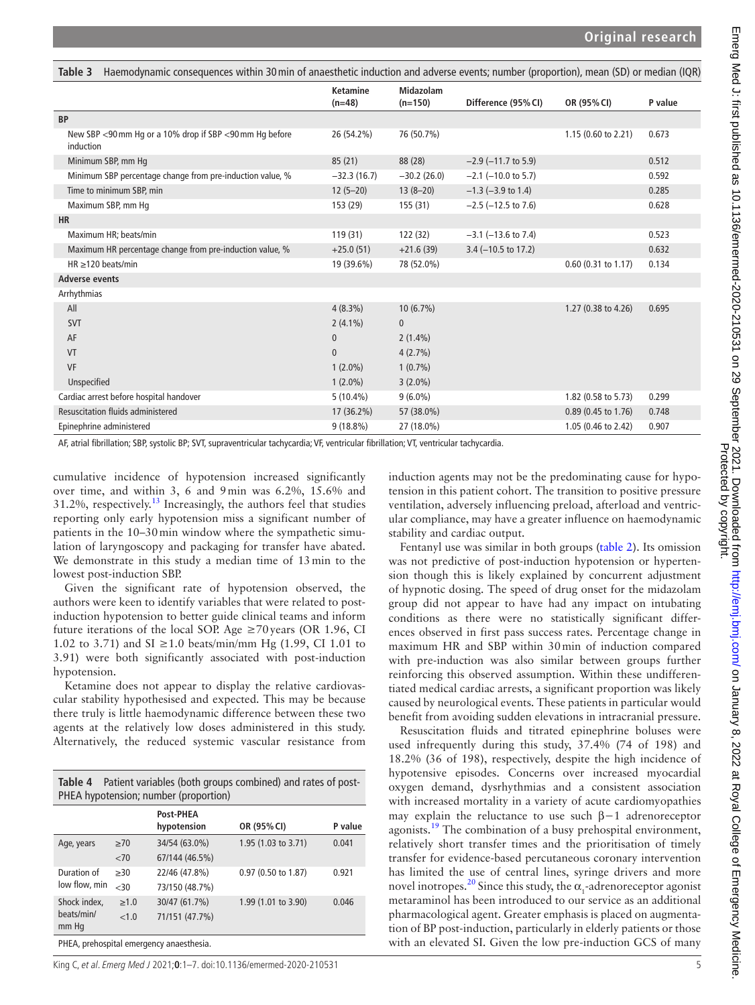<span id="page-4-0"></span>

| Haemodynamic consequences within 30 min of anaesthetic induction and adverse events; number (proportion), mean (SD) or median (IQR)<br>Table 3 |                             |                               |                          |                       |         |
|------------------------------------------------------------------------------------------------------------------------------------------------|-----------------------------|-------------------------------|--------------------------|-----------------------|---------|
|                                                                                                                                                | <b>Ketamine</b><br>$(n=48)$ | <b>Midazolam</b><br>$(n=150)$ | Difference (95% CI)      | OR (95% CI)           | P value |
| <b>BP</b>                                                                                                                                      |                             |                               |                          |                       |         |
| New SBP <90 mm Hg or a 10% drop if SBP <90 mm Hg before<br>induction                                                                           | 26 (54.2%)                  | 76 (50.7%)                    |                          | 1.15 (0.60 to 2.21)   | 0.673   |
| Minimum SBP, mm Hq                                                                                                                             | 85(21)                      | 88 (28)                       | $-2.9$ ( $-11.7$ to 5.9) |                       | 0.512   |
| Minimum SBP percentage change from pre-induction value, %                                                                                      | $-32.3(16.7)$               | $-30.2(26.0)$                 | $-2.1$ ( $-10.0$ to 5.7) |                       | 0.592   |
| Time to minimum SBP, min                                                                                                                       | $12(5-20)$                  | $13(8-20)$                    | $-1.3$ ( $-3.9$ to 1.4)  |                       | 0.285   |
| Maximum SBP, mm Hq                                                                                                                             | 153 (29)                    | 155 (31)                      | $-2.5$ ( $-12.5$ to 7.6) |                       | 0.628   |
| <b>HR</b>                                                                                                                                      |                             |                               |                          |                       |         |
| Maximum HR; beats/min                                                                                                                          | 119 (31)                    | 122 (32)                      | $-3.1$ ( $-13.6$ to 7.4) |                       | 0.523   |
| Maximum HR percentage change from pre-induction value, %                                                                                       | $+25.0(51)$                 | $+21.6(39)$                   | $3.4$ (-10.5 to 17.2)    |                       | 0.632   |
| $HR \geq 120$ beats/min                                                                                                                        | 19 (39.6%)                  | 78 (52.0%)                    |                          | $0.60$ (0.31 to 1.17) | 0.134   |
| <b>Adverse events</b>                                                                                                                          |                             |                               |                          |                       |         |
| Arrhythmias                                                                                                                                    |                             |                               |                          |                       |         |
| All                                                                                                                                            | $4(8.3\%)$                  | $10(6.7\%)$                   |                          | 1.27 (0.38 to 4.26)   | 0.695   |
| <b>SVT</b>                                                                                                                                     | $2(4.1\%)$                  | $\mathbf{0}$                  |                          |                       |         |
| AF                                                                                                                                             | $\mathbf{0}$                | $2(1.4\%)$                    |                          |                       |         |
| VT                                                                                                                                             | $\mathbf{0}$                | 4(2.7%)                       |                          |                       |         |
| VF                                                                                                                                             | $1(2.0\%)$                  | $1(0.7\%)$                    |                          |                       |         |
| Unspecified                                                                                                                                    | $1(2.0\%)$                  | $3(2.0\%)$                    |                          |                       |         |
| Cardiac arrest before hospital handover                                                                                                        | $5(10.4\%)$                 | $9(6.0\%)$                    |                          | 1.82 (0.58 to 5.73)   | 0.299   |
| Resuscitation fluids administered                                                                                                              | 17 (36.2%)                  | 57 (38.0%)                    |                          | $0.89$ (0.45 to 1.76) | 0.748   |
| Epinephrine administered                                                                                                                       | $9(18.8\%)$                 | 27 (18.0%)                    |                          | 1.05 (0.46 to 2.42)   | 0.907   |

AF, atrial fibrillation; SBP, systolic BP; SVT, supraventricular tachycardia; VF, ventricular fibrillation; VT, ventricular tachycardia.

cumulative incidence of hypotension increased significantly over time, and within 3, 6 and 9min was 6.2%, 15.6% and  $31.2\%$ , respectively.<sup>[13](#page-6-0)</sup> Increasingly, the authors feel that studies reporting only early hypotension miss a significant number of patients in the 10–30min window where the sympathetic simulation of laryngoscopy and packaging for transfer have abated. We demonstrate in this study a median time of 13min to the lowest post-induction SBP.

Given the significant rate of hypotension observed, the authors were keen to identify variables that were related to postinduction hypotension to better guide clinical teams and inform future iterations of the local SOP. Age  $\geq$  70 years (OR 1.96, CI 1.02 to 3.71) and SI ≥1.0 beats/min/mm Hg (1.99, CI 1.01 to 3.91) were both significantly associated with post-induction hypotension.

Ketamine does not appear to display the relative cardiovascular stability hypothesised and expected. This may be because there truly is little haemodynamic difference between these two agents at the relatively low doses administered in this study. Alternatively, the reduced systemic vascular resistance from

<span id="page-4-1"></span>

| Patient variables (both groups combined) and rates of post-<br>Table 4<br>PHEA hypotension; number (proportion) |            |                                 |                     |         |  |
|-----------------------------------------------------------------------------------------------------------------|------------|---------------------------------|---------------------|---------|--|
|                                                                                                                 |            | <b>Post-PHEA</b><br>hypotension | OR (95% CI)         | P value |  |
| Age, years                                                                                                      | $\geq 70$  | 34/54 (63.0%)                   | 1.95 (1.03 to 3.71) | 0.041   |  |
|                                                                                                                 | < 70       | 67/144 (46.5%)                  |                     |         |  |
| Duration of                                                                                                     | >30        | 22/46 (47.8%)                   | 0.97 (0.50 to 1.87) | 0.921   |  |
| low flow, min                                                                                                   | <30        | 73/150 (48.7%)                  |                     |         |  |
| Shock index.                                                                                                    | $\geq 1.0$ | 30/47 (61.7%)                   | 1.99 (1.01 to 3.90) | 0.046   |  |

PHEA, prehospital emergency anaesthesia.

beats/min/ mm Hg

King C, et al. Emerg Med J 2021;**0**:1–7. doi:10.1136/emermed-2020-210531 5

<1.0 71/151 (47.7%)

induction agents may not be the predominating cause for hypotension in this patient cohort. The transition to positive pressure ventilation, adversely influencing preload, afterload and ventricular compliance, may have a greater influence on haemodynamic stability and cardiac output.

Fentanyl use was similar in both groups [\(table](#page-3-0) 2). Its omission was not predictive of post-induction hypotension or hypertension though this is likely explained by concurrent adjustment of hypnotic dosing. The speed of drug onset for the midazolam group did not appear to have had any impact on intubating conditions as there were no statistically significant differences observed in first pass success rates. Percentage change in maximum HR and SBP within 30min of induction compared with pre-induction was also similar between groups further reinforcing this observed assumption. Within these undifferentiated medical cardiac arrests, a significant proportion was likely caused by neurological events. These patients in particular would benefit from avoiding sudden elevations in intracranial pressure.

Resuscitation fluids and titrated epinephrine boluses were used infrequently during this study, 37.4% (74 of 198) and 18.2% (36 of 198), respectively, despite the high incidence of hypotensive episodes. Concerns over increased myocardial oxygen demand, dysrhythmias and a consistent association with increased mortality in a variety of acute cardiomyopathies may explain the reluctance to use such β−1 adrenoreceptor agonists.<sup>19</sup> The combination of a busy prehospital environment, relatively short transfer times and the prioritisation of timely transfer for evidence-based percutaneous coronary intervention has limited the use of central lines, syringe drivers and more novel inotropes.<sup>[20](#page-6-3)</sup> Since this study, the  $\alpha_1$ -adrenoreceptor agonist metaraminol has been introduced to our service as an additional pharmacological agent. Greater emphasis is placed on augmentation of BP post-induction, particularly in elderly patients or those with an elevated SI. Given the low pre-induction GCS of many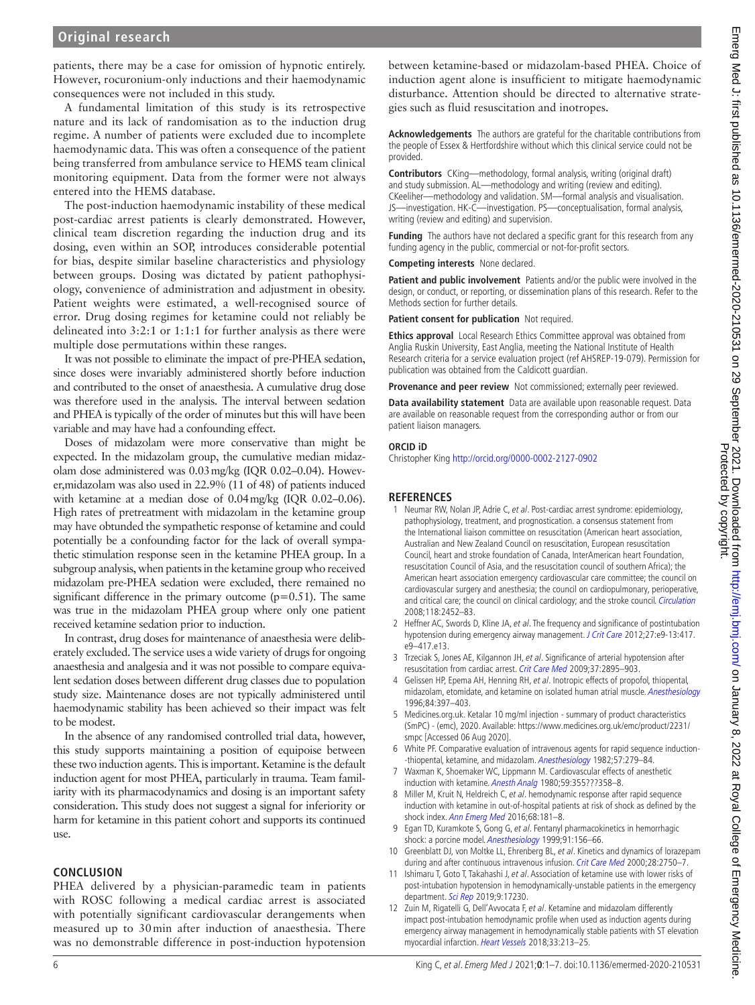patients, there may be a case for omission of hypnotic entirely. However, rocuronium-only inductions and their haemodynamic consequences were not included in this study.

A fundamental limitation of this study is its retrospective nature and its lack of randomisation as to the induction drug regime. A number of patients were excluded due to incomplete haemodynamic data. This was often a consequence of the patient being transferred from ambulance service to HEMS team clinical monitoring equipment. Data from the former were not always entered into the HEMS database.

The post-induction haemodynamic instability of these medical post-cardiac arrest patients is clearly demonstrated. However, clinical team discretion regarding the induction drug and its dosing, even within an SOP, introduces considerable potential for bias, despite similar baseline characteristics and physiology between groups. Dosing was dictated by patient pathophysiology, convenience of administration and adjustment in obesity. Patient weights were estimated, a well-recognised source of error. Drug dosing regimes for ketamine could not reliably be delineated into 3:2:1 or 1:1:1 for further analysis as there were multiple dose permutations within these ranges.

It was not possible to eliminate the impact of pre-PHEA sedation, since doses were invariably administered shortly before induction and contributed to the onset of anaesthesia. A cumulative drug dose was therefore used in the analysis. The interval between sedation and PHEA is typically of the order of minutes but this will have been variable and may have had a confounding effect.

Doses of midazolam were more conservative than might be expected. In the midazolam group, the cumulative median midazolam dose administered was 0.03mg/kg (IQR 0.02–0.04). However,midazolam was also used in 22.9% (11 of 48) of patients induced with ketamine at a median dose of 0.04mg/kg (IQR 0.02–0.06). High rates of pretreatment with midazolam in the ketamine group may have obtunded the sympathetic response of ketamine and could potentially be a confounding factor for the lack of overall sympathetic stimulation response seen in the ketamine PHEA group. In a subgroup analysis, when patients in the ketamine group who received midazolam pre-PHEA sedation were excluded, there remained no significant difference in the primary outcome  $(p=0.51)$ . The same was true in the midazolam PHEA group where only one patient received ketamine sedation prior to induction.

In contrast, drug doses for maintenance of anaesthesia were deliberately excluded. The service uses a wide variety of drugs for ongoing anaesthesia and analgesia and it was not possible to compare equivalent sedation doses between different drug classes due to population study size. Maintenance doses are not typically administered until haemodynamic stability has been achieved so their impact was felt to be modest.

In the absence of any randomised controlled trial data, however, this study supports maintaining a position of equipoise between these two induction agents. This is important. Ketamine is the default induction agent for most PHEA, particularly in trauma. Team familiarity with its pharmacodynamics and dosing is an important safety consideration. This study does not suggest a signal for inferiority or harm for ketamine in this patient cohort and supports its continued use.

## **CONCLUSION**

PHEA delivered by a physician-paramedic team in patients with ROSC following a medical cardiac arrest is associated with potentially significant cardiovascular derangements when measured up to 30min after induction of anaesthesia. There was no demonstrable difference in post-induction hypotension

between ketamine-based or midazolam-based PHEA. Choice of induction agent alone is insufficient to mitigate haemodynamic disturbance. Attention should be directed to alternative strategies such as fluid resuscitation and inotropes.

**Acknowledgements** The authors are grateful for the charitable contributions from the people of Essex & Hertfordshire without which this clinical service could not be provided.

**Contributors** CKing—methodology, formal analysis, writing (original draft) and study submission. AL—methodology and writing (review and editing). CKeeliher—methodology and validation. SM—formal analysis and visualisation. JS—investigation. HK-C—investigation. PS—conceptualisation, formal analysis, writing (review and editing) and supervision.

**Funding** The authors have not declared a specific grant for this research from any funding agency in the public, commercial or not-for-profit sectors.

**Competing interests** None declared.

**Patient and public involvement** Patients and/or the public were involved in the design, or conduct, or reporting, or dissemination plans of this research. Refer to the Methods section for further details.

**Patient consent for publication** Not required.

**Ethics approval** Local Research Ethics Committee approval was obtained from Anglia Ruskin University, East Anglia, meeting the National Institute of Health Research criteria for a service evaluation project (ref AHSREP-19-079). Permission for publication was obtained from the Caldicott guardian.

**Provenance and peer review** Not commissioned; externally peer reviewed.

**Data availability statement** Data are available upon reasonable request. Data are available on reasonable request from the corresponding author or from our patient liaison managers.

#### **ORCID iD**

Christopher King<http://orcid.org/0000-0002-2127-0902>

## **REFERENCES**

- <span id="page-5-0"></span>1 Neumar RW, Nolan JP, Adrie C, et al. Post-cardiac arrest syndrome: epidemiology, pathophysiology, treatment, and prognostication. a consensus statement from the International liaison committee on resuscitation (American heart association, Australian and New Zealand Council on resuscitation, European resuscitation Council, heart and stroke foundation of Canada, InterAmerican heart Foundation, resuscitation Council of Asia, and the resuscitation council of southern Africa); the American heart association emergency cardiovascular care committee; the council on cardiovascular surgery and anesthesia; the council on cardiopulmonary, perioperative, and critical care; the council on clinical cardiology; and the stroke council. [Circulation](http://dx.doi.org/10.1161/CIRCULATIONAHA.108.190652) 2008;118:2452–83.
- <span id="page-5-1"></span>2 Heffner AC, Swords D, Kline JA, et al. The frequency and significance of postintubation hypotension during emergency airway management. [J Crit Care](http://dx.doi.org/10.1016/j.jcrc.2011.08.011) 2012;27:e9-13:417. e9–417.e13.
- 3 Trzeciak S, Jones AE, Kilgannon JH, et al. Significance of arterial hypotension after resuscitation from cardiac arrest. [Crit Care Med](http://dx.doi.org/10.1097/CCM.0b013e3181b01d8c) 2009;37:2895–903.
- <span id="page-5-2"></span>4 Gelissen HP, Epema AH, Henning RH, et al. Inotropic effects of propofol, thiopental, midazolam, etomidate, and ketamine on isolated human atrial muscle. [Anesthesiology](http://dx.doi.org/10.1097/00000542-199602000-00019) 1996;84:397–403.
- <span id="page-5-3"></span>5 Medicines.org.uk. Ketalar 10 mg/ml injection - summary of product characteristics (SmPC) - (emc), 2020. Available: [https://www.medicines.org.uk/emc/product/2231/](https://www.medicines.org.uk/emc/product/2231/smpc) [smpc](https://www.medicines.org.uk/emc/product/2231/smpc) [Accessed 06 Aug 2020].
- <span id="page-5-4"></span>6 White PF. Comparative evaluation of intravenous agents for rapid sequence induction- -thiopental, ketamine, and midazolam. [Anesthesiology](http://dx.doi.org/10.1097/00000542-198210000-00005) 1982;57:279-84.
- 7 Waxman K, Shoemaker WC, Lippmann M. Cardiovascular effects of anesthetic induction with ketamine. [Anesth Analg](http://dx.doi.org/10.1213/00000539-198005000-00007) 1980;59:355???358-8.
- <span id="page-5-5"></span>8 Miller M, Kruit N, Heldreich C, et al. hemodynamic response after rapid sequence induction with ketamine in out-of-hospital patients at risk of shock as defined by the shock index. [Ann Emerg Med](http://dx.doi.org/10.1016/j.annemergmed.2016.03.041) 2016;68:181-8.
- <span id="page-5-6"></span>9 Egan TD, Kuramkote S, Gong G, et al. Fentanyl pharmacokinetics in hemorrhagic shock: a porcine model. [Anesthesiology](http://dx.doi.org/10.1097/00000542-199907000-00024) 1999;91:156-66.
- <span id="page-5-7"></span>10 Greenblatt DJ, von Moltke LL, Ehrenberg BL, et al. Kinetics and dynamics of lorazepam during and after continuous intravenous infusion. [Crit Care Med](http://dx.doi.org/10.1097/00003246-200008000-00011) 2000;28:2750-7.
- <span id="page-5-8"></span>11 Ishimaru T, Goto T, Takahashi J, et al. Association of ketamine use with lower risks of post-intubation hypotension in hemodynamically-unstable patients in the emergency department. [Sci Rep](http://dx.doi.org/10.1038/s41598-019-53360-6) 2019;9:17230.
- <span id="page-5-9"></span>12 Zuin M, Rigatelli G, Dell'Avvocata F, et al. Ketamine and midazolam differently impact post-intubation hemodynamic profile when used as induction agents during emergency airway management in hemodynamically stable patients with ST elevation myocardial infarction. [Heart Vessels](http://dx.doi.org/10.1007/s00380-017-1049-5) 2018;33:213–25.